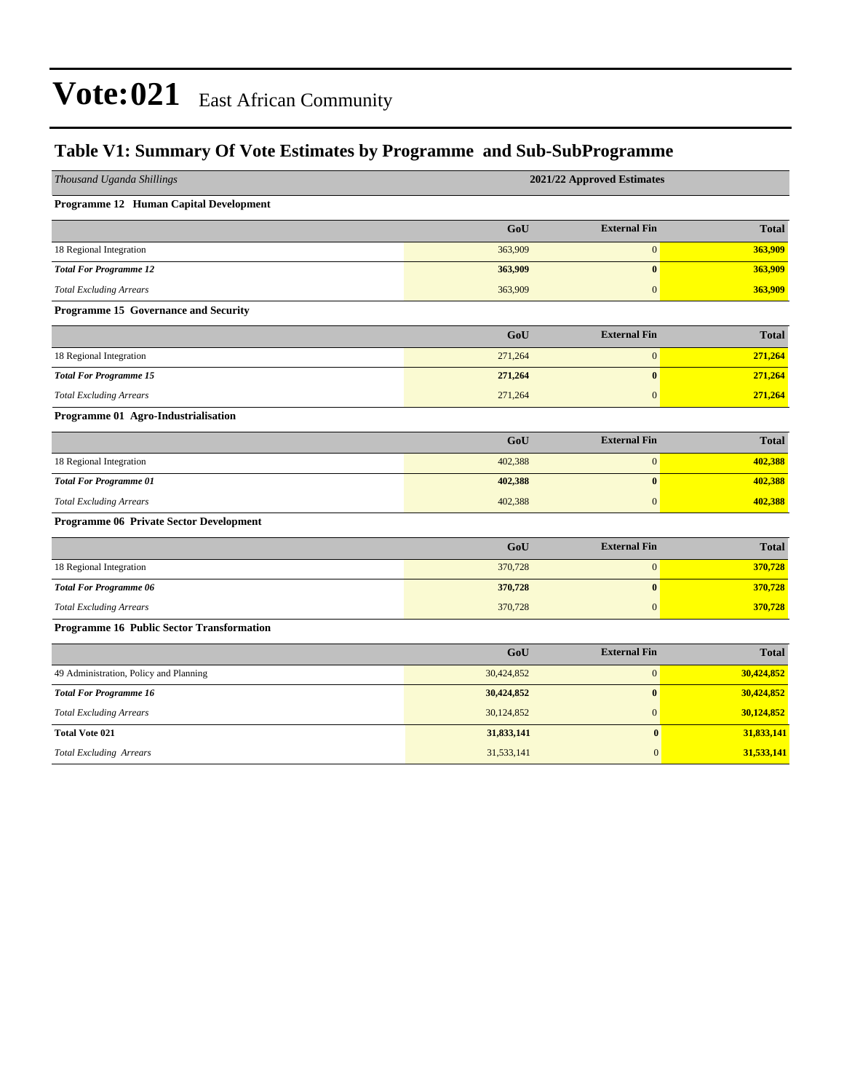### **Table V1: Summary Of Vote Estimates by Programme and Sub-SubProgramme**

| Thousand Uganda Shillings                 |            | 2021/22 Approved Estimates |              |  |  |  |  |
|-------------------------------------------|------------|----------------------------|--------------|--|--|--|--|
| Programme 12 Human Capital Development    |            |                            |              |  |  |  |  |
|                                           | GoU        | <b>External Fin</b>        | <b>Total</b> |  |  |  |  |
| 18 Regional Integration                   | 363,909    | $\boldsymbol{0}$           | 363,909      |  |  |  |  |
| <b>Total For Programme 12</b>             | 363,909    | $\bf{0}$                   | 363,909      |  |  |  |  |
| <b>Total Excluding Arrears</b>            | 363,909    | $\overline{0}$             | 363,909      |  |  |  |  |
| Programme 15 Governance and Security      |            |                            |              |  |  |  |  |
|                                           | GoU        | <b>External Fin</b>        | <b>Total</b> |  |  |  |  |
| 18 Regional Integration                   | 271,264    | $\boldsymbol{0}$           | 271,264      |  |  |  |  |
| <b>Total For Programme 15</b>             | 271,264    | $\bf{0}$                   | 271,264      |  |  |  |  |
| <b>Total Excluding Arrears</b>            | 271,264    | $\overline{0}$             | 271,264      |  |  |  |  |
| Programme 01 Agro-Industrialisation       |            |                            |              |  |  |  |  |
|                                           | GoU        | <b>External Fin</b>        | <b>Total</b> |  |  |  |  |
| 18 Regional Integration                   | 402,388    | $\mathbf{0}$               | 402,388      |  |  |  |  |
| <b>Total For Programme 01</b>             | 402,388    | $\bf{0}$                   | 402,388      |  |  |  |  |
| <b>Total Excluding Arrears</b>            | 402,388    | $\mathbf{0}$               | 402,388      |  |  |  |  |
| Programme 06 Private Sector Development   |            |                            |              |  |  |  |  |
|                                           | GoU        | <b>External Fin</b>        | <b>Total</b> |  |  |  |  |
| 18 Regional Integration                   | 370,728    | $\boldsymbol{0}$           | 370,728      |  |  |  |  |
| <b>Total For Programme 06</b>             | 370,728    | $\bf{0}$                   | 370,728      |  |  |  |  |
| <b>Total Excluding Arrears</b>            | 370,728    | $\boldsymbol{0}$           | 370,728      |  |  |  |  |
| Programme 16 Public Sector Transformation |            |                            |              |  |  |  |  |
|                                           | GoU        | <b>External Fin</b>        | <b>Total</b> |  |  |  |  |
| 49 Administration, Policy and Planning    | 30,424,852 | $\boldsymbol{0}$           | 30,424,852   |  |  |  |  |
| <b>Total For Programme 16</b>             | 30,424,852 | $\bf{0}$                   | 30,424,852   |  |  |  |  |
| <b>Total Excluding Arrears</b>            | 30,124,852 | $\overline{0}$             | 30,124,852   |  |  |  |  |
| <b>Total Vote 021</b>                     | 31,833,141 | $\bf{0}$                   | 31,833,141   |  |  |  |  |
| <b>Total Excluding Arrears</b>            | 31,533,141 | $\overline{0}$             | 31,533,141   |  |  |  |  |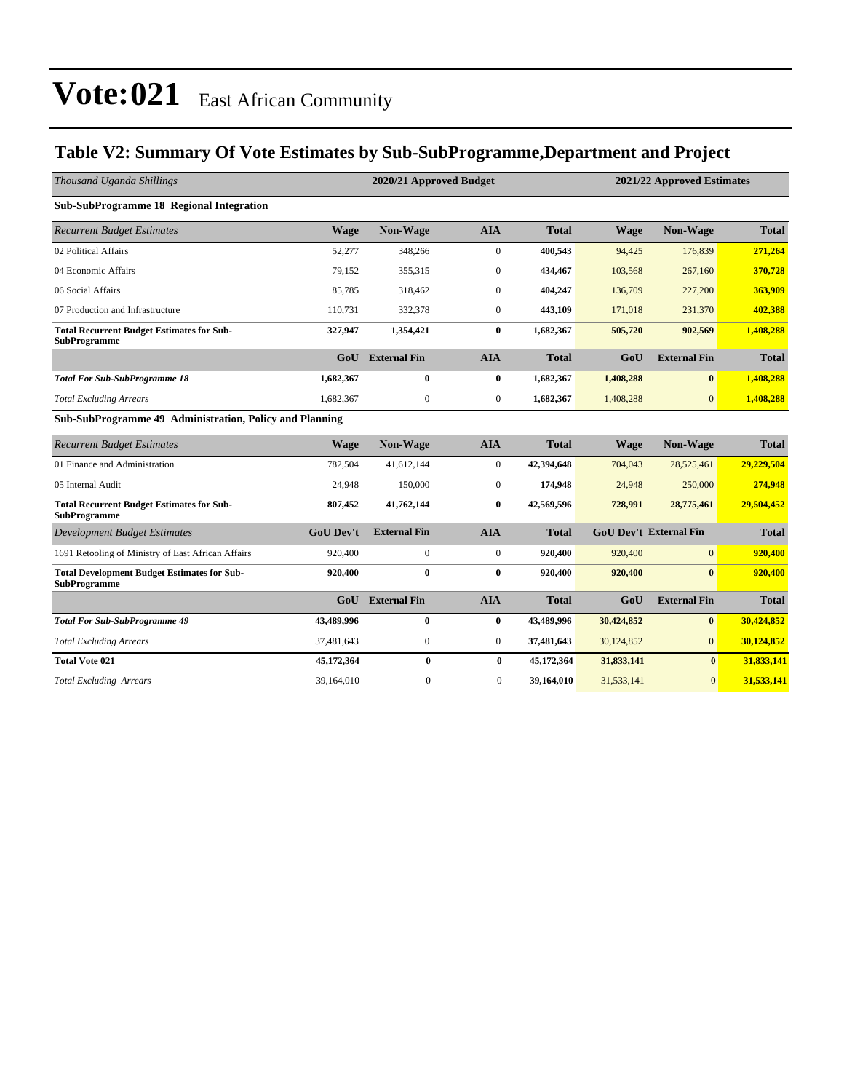### **Table V2: Summary Of Vote Estimates by Sub-SubProgramme,Department and Project**

| Thousand Uganda Shillings                                                 |                  | 2020/21 Approved Budget |                  |              |             | 2021/22 Approved Estimates    |              |  |
|---------------------------------------------------------------------------|------------------|-------------------------|------------------|--------------|-------------|-------------------------------|--------------|--|
| <b>Sub-SubProgramme 18 Regional Integration</b>                           |                  |                         |                  |              |             |                               |              |  |
| <b>Recurrent Budget Estimates</b>                                         | <b>Wage</b>      | Non-Wage                | <b>AIA</b>       | <b>Total</b> | <b>Wage</b> | Non-Wage                      | <b>Total</b> |  |
| 02 Political Affairs                                                      | 52,277           | 348,266                 | $\mathbf{0}$     | 400,543      | 94,425      | 176,839                       | 271,264      |  |
| 04 Economic Affairs                                                       | 79.152           | 355.315                 | $\mathbf{0}$     | 434,467      | 103,568     | 267,160                       | 370,728      |  |
| 06 Social Affairs                                                         | 85,785           | 318,462                 | $\mathbf{0}$     | 404,247      | 136,709     | 227,200                       | 363,909      |  |
| 07 Production and Infrastructure                                          | 110,731          | 332,378                 | $\mathbf{0}$     | 443,109      | 171,018     | 231,370                       | 402,388      |  |
| <b>Total Recurrent Budget Estimates for Sub-</b><br><b>SubProgramme</b>   | 327,947          | 1,354,421               | $\bf{0}$         | 1,682,367    | 505,720     | 902,569                       | 1,408,288    |  |
|                                                                           | GoU              | <b>External Fin</b>     | <b>AIA</b>       | <b>Total</b> | GoU         | <b>External Fin</b>           | <b>Total</b> |  |
| <b>Total For Sub-SubProgramme 18</b>                                      | 1,682,367        | $\bf{0}$                | $\bf{0}$         | 1,682,367    | 1,408,288   | $\bf{0}$                      | 1,408,288    |  |
| <b>Total Excluding Arrears</b>                                            | 1,682,367        | $\boldsymbol{0}$        | $\boldsymbol{0}$ | 1,682,367    | 1,408,288   | $\overline{0}$                | 1,408,288    |  |
| Sub-SubProgramme 49 Administration, Policy and Planning                   |                  |                         |                  |              |             |                               |              |  |
| <b>Recurrent Budget Estimates</b>                                         | <b>Wage</b>      | Non-Wage                | <b>AIA</b>       | <b>Total</b> | <b>Wage</b> | Non-Wage                      | <b>Total</b> |  |
| 01 Finance and Administration                                             | 782,504          | 41,612,144              | $\boldsymbol{0}$ | 42,394,648   | 704,043     | 28,525,461                    | 29,229,504   |  |
| 05 Internal Audit                                                         | 24.948           | 150,000                 | $\mathbf{0}$     | 174,948      | 24,948      | 250,000                       | 274,948      |  |
| <b>Total Recurrent Budget Estimates for Sub-</b><br><b>SubProgramme</b>   | 807,452          | 41,762,144              | $\bf{0}$         | 42,569,596   | 728,991     | 28,775,461                    | 29,504,452   |  |
| <b>Development Budget Estimates</b>                                       | <b>GoU</b> Dev't | <b>External Fin</b>     | <b>AIA</b>       | <b>Total</b> |             | <b>GoU Dev't External Fin</b> | <b>Total</b> |  |
| 1691 Retooling of Ministry of East African Affairs                        | 920,400          | $\boldsymbol{0}$        | $\mathbf{0}$     | 920,400      | 920,400     | $\overline{0}$                | 920,400      |  |
| <b>Total Development Budget Estimates for Sub-</b><br><b>SubProgramme</b> | 920,400          | $\bf{0}$                | $\bf{0}$         | 920,400      | 920,400     | $\bf{0}$                      | 920,400      |  |
|                                                                           | GoU              | <b>External Fin</b>     | <b>AIA</b>       | <b>Total</b> | GoU         | <b>External Fin</b>           | <b>Total</b> |  |
| <b>Total For Sub-SubProgramme 49</b>                                      | 43,489,996       | $\bf{0}$                | $\bf{0}$         | 43,489,996   | 30,424,852  | $\bf{0}$                      | 30,424,852   |  |
| <b>Total Excluding Arrears</b>                                            | 37,481,643       | $\boldsymbol{0}$        | $\boldsymbol{0}$ | 37,481,643   | 30,124,852  | $\mathbf{0}$                  | 30,124,852   |  |
| <b>Total Vote 021</b>                                                     | 45,172,364       | $\bf{0}$                | $\bf{0}$         | 45,172,364   | 31,833,141  | $\bf{0}$                      | 31,833,141   |  |
| <b>Total Excluding Arrears</b>                                            | 39,164,010       | $\mathbf{0}$            | $\mathbf{0}$     | 39,164,010   | 31,533,141  | $\mathbf{0}$                  | 31,533,141   |  |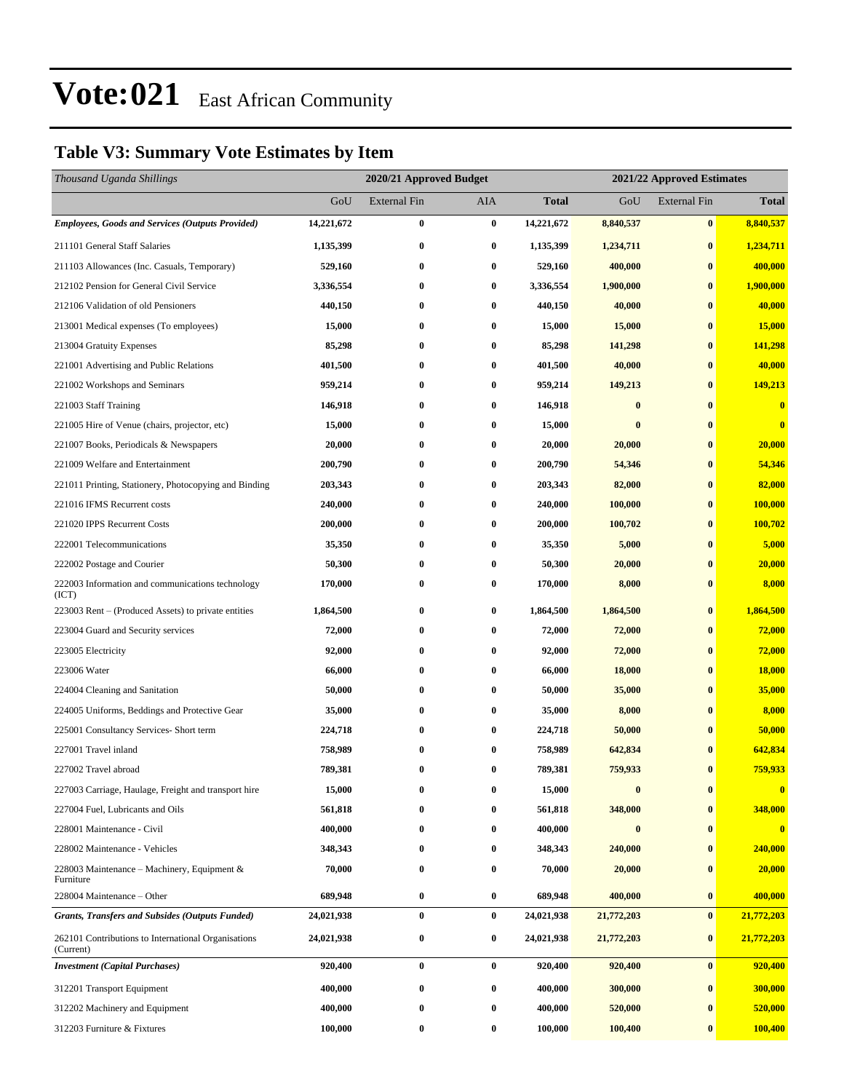### **Table V3: Summary Vote Estimates by Item**

| Thousand Uganda Shillings                                        |            | 2020/21 Approved Budget |                  |              |            | 2021/22 Approved Estimates |                |  |
|------------------------------------------------------------------|------------|-------------------------|------------------|--------------|------------|----------------------------|----------------|--|
|                                                                  | GoU        | <b>External Fin</b>     | AIA              | <b>Total</b> | GoU        | <b>External Fin</b>        | <b>Total</b>   |  |
| <b>Employees, Goods and Services (Outputs Provided)</b>          | 14,221,672 | $\bf{0}$                | $\bf{0}$         | 14,221,672   | 8,840,537  | $\bf{0}$                   | 8,840,537      |  |
| 211101 General Staff Salaries                                    | 1,135,399  | $\bf{0}$                | $\bf{0}$         | 1,135,399    | 1,234,711  | $\bf{0}$                   | 1,234,711      |  |
| 211103 Allowances (Inc. Casuals, Temporary)                      | 529,160    | $\bf{0}$                | 0                | 529,160      | 400,000    | $\bf{0}$                   | 400,000        |  |
| 212102 Pension for General Civil Service                         | 3,336,554  | $\bf{0}$                | $\bf{0}$         | 3,336,554    | 1,900,000  | $\bf{0}$                   | 1,900,000      |  |
| 212106 Validation of old Pensioners                              | 440,150    | $\bf{0}$                | 0                | 440,150      | 40,000     | $\bf{0}$                   | 40,000         |  |
| 213001 Medical expenses (To employees)                           | 15,000     | $\bf{0}$                | 0                | 15,000       | 15,000     | $\bf{0}$                   | 15,000         |  |
| 213004 Gratuity Expenses                                         | 85,298     | $\bf{0}$                | $\bf{0}$         | 85,298       | 141,298    | $\bf{0}$                   | 141,298        |  |
| 221001 Advertising and Public Relations                          | 401,500    | $\bf{0}$                | 0                | 401,500      | 40,000     | $\bf{0}$                   | 40,000         |  |
| 221002 Workshops and Seminars                                    | 959,214    | $\bf{0}$                | $\bf{0}$         | 959,214      | 149,213    | $\bf{0}$                   | 149,213        |  |
| 221003 Staff Training                                            | 146,918    | $\bf{0}$                | 0                | 146,918      | $\bf{0}$   | $\bf{0}$                   | $\bf{0}$       |  |
| 221005 Hire of Venue (chairs, projector, etc)                    | 15,000     | $\bf{0}$                | $\bf{0}$         | 15,000       | $\bf{0}$   | $\bf{0}$                   | $\bf{0}$       |  |
| 221007 Books, Periodicals & Newspapers                           | 20,000     | $\bf{0}$                | $\bf{0}$         | 20,000       | 20,000     | $\bf{0}$                   | 20,000         |  |
| 221009 Welfare and Entertainment                                 | 200,790    | $\bf{0}$                | 0                | 200,790      | 54,346     | $\bf{0}$                   | 54,346         |  |
| 221011 Printing, Stationery, Photocopying and Binding            | 203,343    | $\bf{0}$                | $\bf{0}$         | 203,343      | 82,000     | $\bf{0}$                   | 82,000         |  |
| 221016 IFMS Recurrent costs                                      | 240,000    | $\bf{0}$                | 0                | 240,000      | 100,000    | $\bf{0}$                   | 100,000        |  |
| 221020 IPPS Recurrent Costs                                      | 200,000    | $\bf{0}$                | $\bf{0}$         | 200,000      | 100,702    | $\bf{0}$                   | 100,702        |  |
| 222001 Telecommunications                                        | 35,350     | $\bf{0}$                | $\bf{0}$         | 35,350       | 5,000      | $\bf{0}$                   | 5,000          |  |
| 222002 Postage and Courier                                       | 50,300     | $\bf{0}$                | 0                | 50,300       | 20,000     | $\bf{0}$                   | 20,000         |  |
| 222003 Information and communications technology<br>(ICT)        | 170,000    | $\bf{0}$                | 0                | 170,000      | 8,000      | $\bf{0}$                   | 8,000          |  |
| 223003 Rent – (Produced Assets) to private entities              | 1,864,500  | $\bf{0}$                | $\bf{0}$         | 1,864,500    | 1,864,500  | $\bf{0}$                   | 1,864,500      |  |
| 223004 Guard and Security services                               | 72,000     | $\bf{0}$                | $\bf{0}$         | 72,000       | 72,000     | $\bf{0}$                   | 72,000         |  |
| 223005 Electricity                                               | 92,000     | $\bf{0}$                | 0                | 92,000       | 72,000     | $\bf{0}$                   | 72,000         |  |
| 223006 Water                                                     | 66,000     | $\bf{0}$                | $\bf{0}$         | 66,000       | 18,000     | $\bf{0}$                   | <b>18,000</b>  |  |
| 224004 Cleaning and Sanitation                                   | 50,000     | $\bf{0}$                | $\bf{0}$         | 50,000       | 35,000     | $\bf{0}$                   | 35,000         |  |
| 224005 Uniforms, Beddings and Protective Gear                    | 35,000     | $\bf{0}$                | 0                | 35,000       | 8,000      | $\bf{0}$                   | 8,000          |  |
| 225001 Consultancy Services- Short term                          | 224,718    | $\bf{0}$                | $\bf{0}$         | 224,718      | 50,000     | $\bf{0}$                   | 50,000         |  |
| 227001 Travel inland                                             | 758,989    | $\bf{0}$                | 0                | 758,989      | 642,834    | $\bf{0}$                   | 642,834        |  |
| 227002 Travel abroad                                             | 789,381    | $\bf{0}$                | 0                | 789,381      | 759,933    | $\bf{0}$                   | 759,933        |  |
| 227003 Carriage, Haulage, Freight and transport hire             | 15,000     | $\bf{0}$                | 0                | 15,000       | $\bf{0}$   | $\bf{0}$                   | $\bf{0}$       |  |
| 227004 Fuel, Lubricants and Oils                                 | 561,818    | 0                       | 0                | 561,818      | 348,000    | $\bf{0}$                   | 348,000        |  |
| 228001 Maintenance - Civil                                       | 400,000    | $\bf{0}$                | $\bf{0}$         | 400,000      | $\bf{0}$   | $\bf{0}$                   | $\bf{0}$       |  |
| 228002 Maintenance - Vehicles                                    | 348,343    | $\bf{0}$                | 0                | 348,343      | 240,000    | $\bf{0}$                   | 240,000        |  |
| 228003 Maintenance – Machinery, Equipment $\&$<br>Furniture      | 70,000     | $\bf{0}$                | 0                | 70,000       | 20,000     | $\bf{0}$                   | 20,000         |  |
| 228004 Maintenance - Other                                       | 689,948    | $\bf{0}$                | $\bf{0}$         | 689,948      | 400,000    | $\boldsymbol{0}$           | 400,000        |  |
| <b>Grants, Transfers and Subsides (Outputs Funded)</b>           | 24,021,938 | $\bf{0}$                | $\bf{0}$         | 24,021,938   | 21,772,203 | $\bf{0}$                   | 21,772,203     |  |
| 262101 Contributions to International Organisations<br>(Current) | 24,021,938 | $\bf{0}$                | $\bf{0}$         | 24,021,938   | 21,772,203 | $\bf{0}$                   | 21,772,203     |  |
| <b>Investment</b> (Capital Purchases)                            | 920,400    | $\bf{0}$                | $\bf{0}$         | 920,400      | 920,400    | $\bf{0}$                   | 920,400        |  |
| 312201 Transport Equipment                                       | 400,000    | $\bf{0}$                | $\bf{0}$         | 400,000      | 300,000    | $\bf{0}$                   | 300,000        |  |
| 312202 Machinery and Equipment                                   | 400,000    | $\bf{0}$                | $\bf{0}$         | 400,000      | 520,000    | $\bf{0}$                   | 520,000        |  |
| 312203 Furniture & Fixtures                                      | 100,000    | $\bf{0}$                | $\boldsymbol{0}$ | 100,000      | 100,400    | $\bf{0}$                   | <b>100,400</b> |  |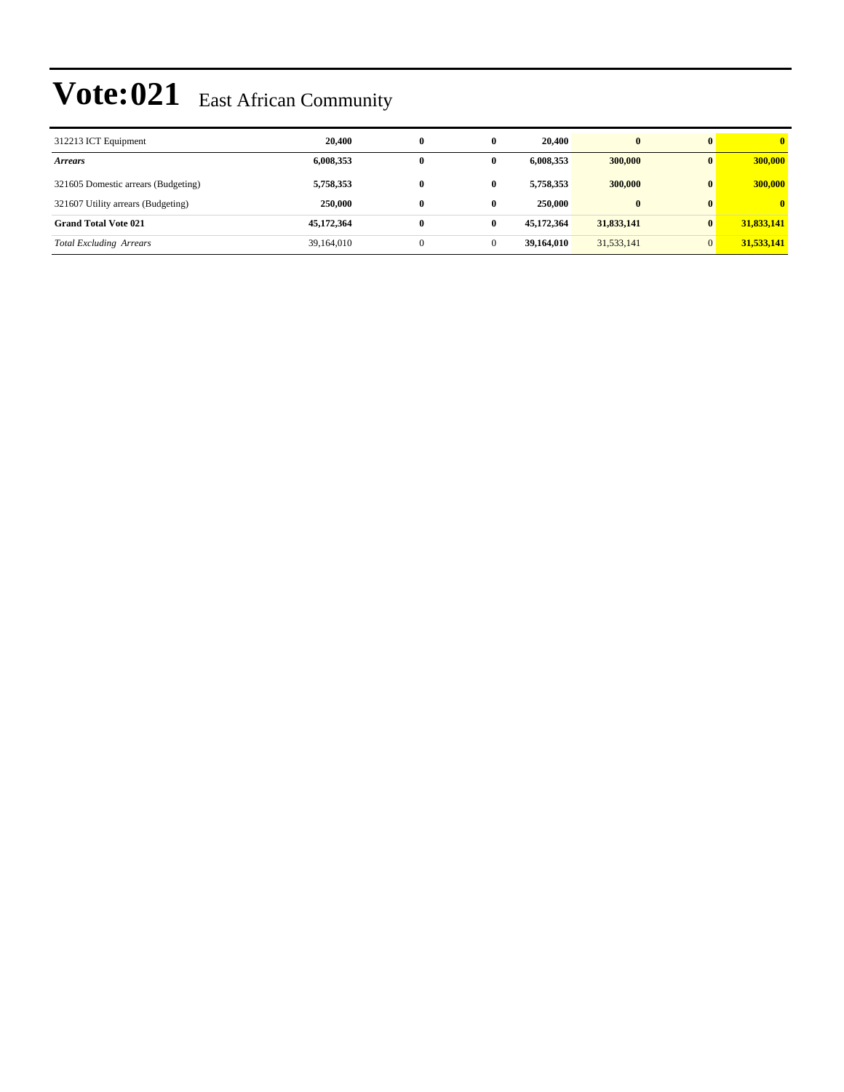| 312213 ICT Equipment                | 20,400     | $\bf{0}$ | 0 | 20,400     | $\bf{0}$   |              | $\mathbf{0}$ |
|-------------------------------------|------------|----------|---|------------|------------|--------------|--------------|
| <i>Arrears</i>                      | 6,008,353  | 0        | 0 | 6,008,353  | 300,000    | $\mathbf{0}$ | 300,000      |
| 321605 Domestic arrears (Budgeting) | 5,758,353  | $\bf{0}$ | 0 | 5,758,353  | 300,000    | $\mathbf{0}$ | 300,000      |
| 321607 Utility arrears (Budgeting)  | 250,000    | $\bf{0}$ | 0 | 250,000    | $\bf{0}$   | $\mathbf{0}$ | $\mathbf{0}$ |
| <b>Grand Total Vote 021</b>         | 45,172,364 | $\bf{0}$ | 0 | 45,172,364 | 31,833,141 | $\mathbf{0}$ | 31,833,141   |
| <b>Total Excluding Arrears</b>      | 39,164,010 |          |   | 39,164,010 | 31,533,141 |              | 31,533,141   |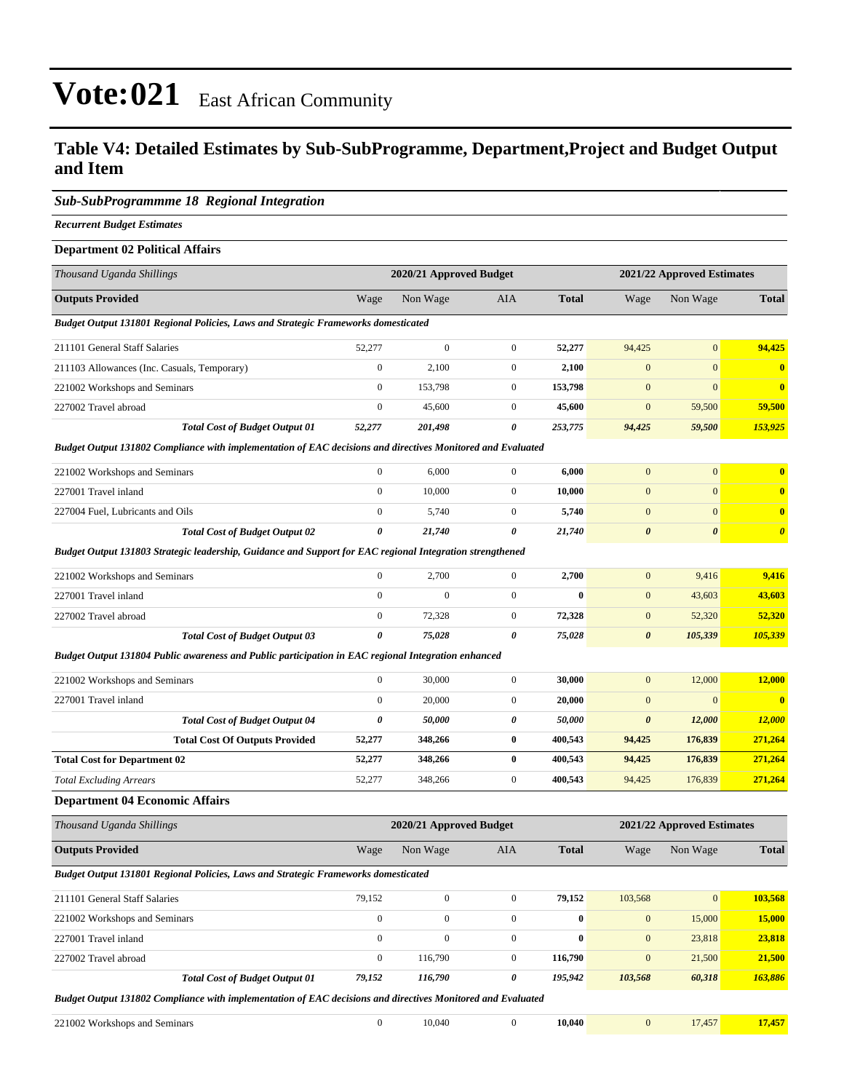### **Table V4: Detailed Estimates by Sub-SubProgramme, Department,Project and Budget Output and Item**

#### *Sub-SubProgrammme 18 Regional Integration*

*Recurrent Budget Estimates*

#### **Department 02 Political Affairs**

| Thousand Uganda Shillings                                                                                   |                  | 2020/21 Approved Budget |                  |              |                       | 2021/22 Approved Estimates |                       |
|-------------------------------------------------------------------------------------------------------------|------------------|-------------------------|------------------|--------------|-----------------------|----------------------------|-----------------------|
| <b>Outputs Provided</b>                                                                                     | Wage             | Non Wage                | AIA              | <b>Total</b> | Wage                  | Non Wage                   | <b>Total</b>          |
| <b>Budget Output 131801 Regional Policies, Laws and Strategic Frameworks domesticated</b>                   |                  |                         |                  |              |                       |                            |                       |
| 211101 General Staff Salaries                                                                               | 52,277           | $\mathbf{0}$            | $\mathbf{0}$     | 52,277       | 94,425                | $\boldsymbol{0}$           | 94,425                |
| 211103 Allowances (Inc. Casuals, Temporary)                                                                 | $\boldsymbol{0}$ | 2,100                   | $\mathbf{0}$     | 2,100        | $\mathbf{0}$          | $\mathbf{0}$               | $\bf{0}$              |
| 221002 Workshops and Seminars                                                                               | $\boldsymbol{0}$ | 153,798                 | $\mathbf{0}$     | 153,798      | $\boldsymbol{0}$      | $\mathbf{0}$               | $\mathbf{0}$          |
| 227002 Travel abroad                                                                                        | $\boldsymbol{0}$ | 45,600                  | $\mathbf{0}$     | 45,600       | $\mathbf{0}$          | 59,500                     | 59,500                |
| <b>Total Cost of Budget Output 01</b>                                                                       | 52,277           | 201,498                 | $\pmb{\theta}$   | 253,775      | 94,425                | 59,500                     | 153,925               |
| Budget Output 131802 Compliance with implementation of EAC decisions and directives Monitored and Evaluated |                  |                         |                  |              |                       |                            |                       |
| 221002 Workshops and Seminars                                                                               | $\boldsymbol{0}$ | 6,000                   | $\mathbf{0}$     | 6,000        | $\mathbf{0}$          | $\boldsymbol{0}$           | $\bf{0}$              |
| 227001 Travel inland                                                                                        | $\boldsymbol{0}$ | 10,000                  | $\mathbf{0}$     | 10,000       | $\mathbf{0}$          | $\boldsymbol{0}$           | $\bf{0}$              |
| 227004 Fuel, Lubricants and Oils                                                                            | $\boldsymbol{0}$ | 5,740                   | $\boldsymbol{0}$ | 5,740        | $\boldsymbol{0}$      | $\mathbf{0}$               | $\bf{0}$              |
| <b>Total Cost of Budget Output 02</b>                                                                       | 0                | 21,740                  | 0                | 21,740       | $\boldsymbol{\theta}$ | $\boldsymbol{\theta}$      | $\boldsymbol{\theta}$ |
| Budget Output 131803 Strategic leadership, Guidance and Support for EAC regional Integration strengthened   |                  |                         |                  |              |                       |                            |                       |
| 221002 Workshops and Seminars                                                                               | $\boldsymbol{0}$ | 2,700                   | $\mathbf{0}$     | 2,700        | $\mathbf{0}$          | 9,416                      | 9,416                 |
| 227001 Travel inland                                                                                        | $\boldsymbol{0}$ | $\mathbf{0}$            | $\boldsymbol{0}$ | $\bf{0}$     | $\mathbf{0}$          | 43,603                     | 43,603                |
| 227002 Travel abroad                                                                                        | $\boldsymbol{0}$ | 72,328                  | $\mathbf{0}$     | 72,328       | $\mathbf{0}$          | 52,320                     | 52,320                |
| <b>Total Cost of Budget Output 03</b>                                                                       | 0                | 75,028                  | 0                | 75,028       | $\boldsymbol{\theta}$ | 105,339                    | 105,339               |
| Budget Output 131804 Public awareness and Public participation in EAC regional Integration enhanced         |                  |                         |                  |              |                       |                            |                       |
| 221002 Workshops and Seminars                                                                               | $\boldsymbol{0}$ | 30,000                  | $\mathbf{0}$     | 30,000       | $\mathbf{0}$          | 12,000                     | 12,000                |
| 227001 Travel inland                                                                                        | $\boldsymbol{0}$ | 20,000                  | $\mathbf{0}$     | 20,000       | $\mathbf{0}$          | $\mathbf{0}$               | $\bf{0}$              |
| <b>Total Cost of Budget Output 04</b>                                                                       | 0                | 50,000                  | 0                | 50,000       | $\boldsymbol{\theta}$ | 12,000                     | <b>12,000</b>         |
| <b>Total Cost Of Outputs Provided</b>                                                                       | 52,277           | 348,266                 | $\bf{0}$         | 400,543      | 94,425                | 176,839                    | 271,264               |
| <b>Total Cost for Department 02</b>                                                                         | 52,277           | 348,266                 | $\bf{0}$         | 400,543      | 94,425                | 176,839                    | 271,264               |
| <b>Total Excluding Arrears</b>                                                                              | 52,277           | 348,266                 | $\mathbf{0}$     | 400,543      | 94,425                | 176,839                    | 271,264               |
| <b>Department 04 Economic Affairs</b>                                                                       |                  |                         |                  |              |                       |                            |                       |
| Thousand Uganda Shillings                                                                                   |                  | 2020/21 Approved Budget |                  |              |                       | 2021/22 Approved Estimates |                       |
| <b>Outputs Provided</b>                                                                                     | Wage             | Non Wage                | AIA              | <b>Total</b> | Wage                  | Non Wage                   | <b>Total</b>          |
| Budget Output 131801 Regional Policies, Laws and Strategic Frameworks domesticated                          |                  |                         |                  |              |                       |                            |                       |
| 211101 General Staff Salaries                                                                               | 79,152           | $\mathbf{0}$            | $\mathbf{0}$     | 79,152       | 103,568               | $\boldsymbol{0}$           | 103,568               |
| 221002 Workshops and Seminars                                                                               | $\boldsymbol{0}$ | $\boldsymbol{0}$        | $\boldsymbol{0}$ | $\pmb{0}$    | $\boldsymbol{0}$      | 15,000                     | 15,000                |
| 227001 Travel inland                                                                                        | $\boldsymbol{0}$ | $\boldsymbol{0}$        | $\mathbf{0}$     | $\bf{0}$     | $\mathbf{0}$          | 23,818                     | 23,818                |
| 227002 Travel abroad                                                                                        | $\overline{0}$   | 116,790                 | $\boldsymbol{0}$ | 116,790      | $\boldsymbol{0}$      | 21,500                     | 21,500                |
| <b>Total Cost of Budget Output 01</b>                                                                       | 79,152           | 116,790                 | 0                | 195,942      | 103,568               | 60,318                     | 163,886               |
| Budget Output 131802 Compliance with implementation of EAC decisions and directives Monitored and Evaluated |                  |                         |                  |              |                       |                            |                       |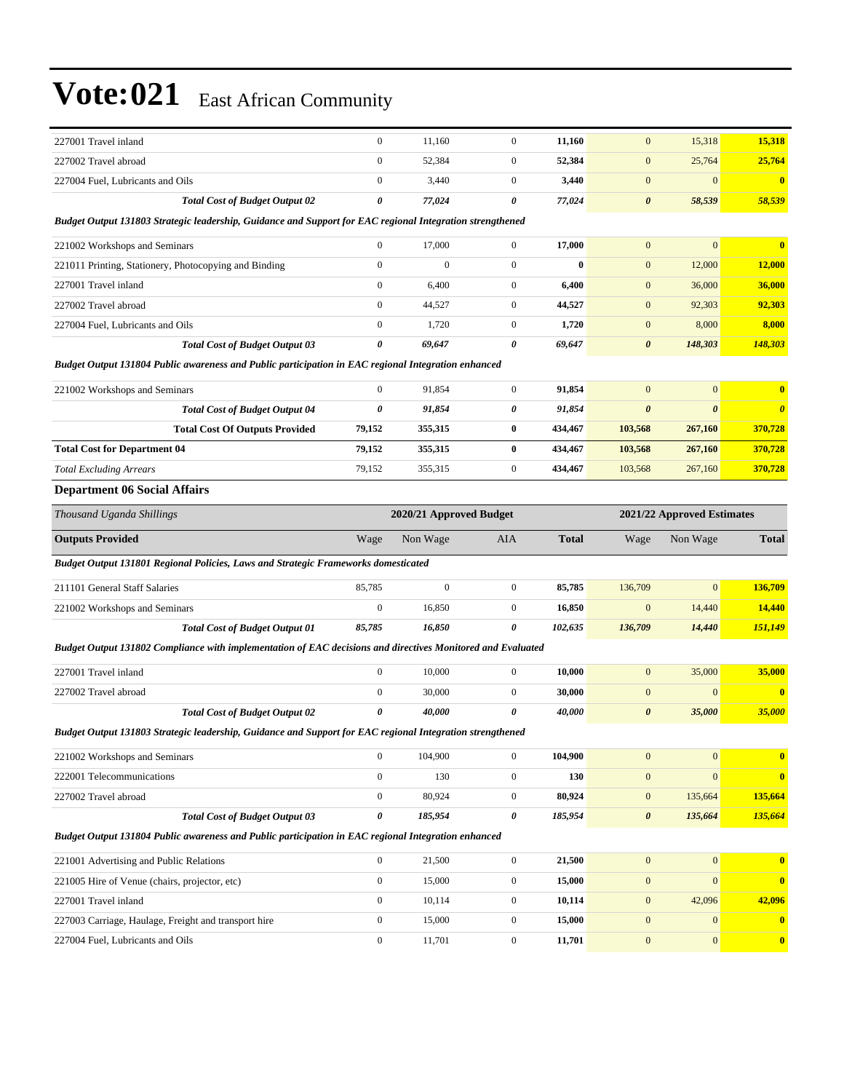| 227001 Travel inland                                                                                        | $\boldsymbol{0}$ | 11,160                  | $\mathbf{0}$     | 11,160       | $\mathbf{0}$               | 15,318                | 15,318                |
|-------------------------------------------------------------------------------------------------------------|------------------|-------------------------|------------------|--------------|----------------------------|-----------------------|-----------------------|
| 227002 Travel abroad                                                                                        | $\boldsymbol{0}$ | 52,384                  | $\mathbf{0}$     | 52,384       | $\mathbf{0}$               | 25,764                | 25,764                |
| 227004 Fuel, Lubricants and Oils                                                                            | $\boldsymbol{0}$ | 3,440                   | $\mathbf{0}$     | 3,440        | $\boldsymbol{0}$           | $\boldsymbol{0}$      | $\bf{0}$              |
| <b>Total Cost of Budget Output 02</b>                                                                       | 0                | 77,024                  | 0                | 77,024       | $\boldsymbol{\theta}$      | 58,539                | 58,539                |
| Budget Output 131803 Strategic leadership, Guidance and Support for EAC regional Integration strengthened   |                  |                         |                  |              |                            |                       |                       |
| 221002 Workshops and Seminars                                                                               | $\boldsymbol{0}$ | 17,000                  | $\mathbf{0}$     | 17,000       | $\mathbf{0}$               | $\mathbf{0}$          | $\bf{0}$              |
| 221011 Printing, Stationery, Photocopying and Binding                                                       | $\boldsymbol{0}$ | $\mathbf{0}$            | $\mathbf{0}$     | $\bf{0}$     | $\mathbf{0}$               | 12,000                | 12,000                |
| 227001 Travel inland                                                                                        | $\boldsymbol{0}$ | 6,400                   | $\mathbf{0}$     | 6,400        | $\mathbf{0}$               | 36,000                | 36,000                |
| 227002 Travel abroad                                                                                        | $\overline{0}$   | 44,527                  | $\mathbf{0}$     | 44,527       | $\mathbf{0}$               | 92,303                | 92,303                |
| 227004 Fuel, Lubricants and Oils                                                                            | $\boldsymbol{0}$ | 1,720                   | $\mathbf{0}$     | 1,720        | $\mathbf{0}$               | 8,000                 | 8,000                 |
| <b>Total Cost of Budget Output 03</b>                                                                       | 0                | 69,647                  | 0                | 69,647       | $\boldsymbol{\theta}$      | 148,303               | 148,303               |
| Budget Output 131804 Public awareness and Public participation in EAC regional Integration enhanced         |                  |                         |                  |              |                            |                       |                       |
| 221002 Workshops and Seminars                                                                               | $\overline{0}$   | 91,854                  | $\mathbf{0}$     | 91,854       | $\mathbf{0}$               | $\boldsymbol{0}$      | $\bf{0}$              |
| <b>Total Cost of Budget Output 04</b>                                                                       | 0                | 91,854                  | 0                | 91,854       | $\boldsymbol{\theta}$      | $\boldsymbol{\theta}$ | $\boldsymbol{\theta}$ |
| <b>Total Cost Of Outputs Provided</b>                                                                       | 79,152           | 355,315                 | $\bf{0}$         | 434,467      | 103,568                    | 267,160               | 370,728               |
| <b>Total Cost for Department 04</b>                                                                         | 79,152           | 355,315                 | $\bf{0}$         | 434,467      | 103,568                    | 267,160               | 370,728               |
| <b>Total Excluding Arrears</b>                                                                              | 79,152           | 355,315                 | $\mathbf{0}$     | 434,467      | 103,568                    | 267,160               | 370,728               |
| <b>Department 06 Social Affairs</b>                                                                         |                  |                         |                  |              |                            |                       |                       |
| Thousand Uganda Shillings                                                                                   |                  | 2020/21 Approved Budget |                  |              | 2021/22 Approved Estimates |                       |                       |
| <b>Outputs Provided</b>                                                                                     | Wage             | Non Wage                | AIA              | <b>Total</b> | Wage                       | Non Wage              | <b>Total</b>          |
| <b>Budget Output 131801 Regional Policies, Laws and Strategic Frameworks domesticated</b>                   |                  |                         |                  |              |                            |                       |                       |
| 211101 General Staff Salaries                                                                               | 85,785           | $\mathbf{0}$            | $\mathbf{0}$     | 85,785       | 136,709                    | $\mathbf{0}$          | 136,709               |
| 221002 Workshops and Seminars                                                                               | $\boldsymbol{0}$ | 16,850                  | $\mathbf{0}$     | 16,850       | $\mathbf{0}$               | 14,440                | 14,440                |
| <b>Total Cost of Budget Output 01</b>                                                                       | 85,785           | 16,850                  | 0                | 102,635      | 136,709                    | 14,440                | 151,149               |
| Budget Output 131802 Compliance with implementation of EAC decisions and directives Monitored and Evaluated |                  |                         |                  |              |                            |                       |                       |
| 227001 Travel inland                                                                                        | $\overline{0}$   | 10,000                  | $\mathbf{0}$     | 10,000       | $\mathbf{0}$               | 35,000                | 35,000                |
| 227002 Travel abroad                                                                                        | $\boldsymbol{0}$ | 30,000                  | $\boldsymbol{0}$ | 30,000       | $\mathbf{0}$               | $\boldsymbol{0}$      | $\bf{0}$              |
| <b>Total Cost of Budget Output 02</b>                                                                       | 0                | 40,000                  | 0                | 40,000       | $\boldsymbol{\theta}$      | 35,000                | 35,000                |
| Budget Output 131803 Strategic leadership, Guidance and Support for EAC regional Integration strengthened   |                  |                         |                  |              |                            |                       |                       |
| 221002 Workshops and Seminars                                                                               |                  |                         |                  |              |                            |                       |                       |
|                                                                                                             | $\boldsymbol{0}$ | 104,900                 | $\boldsymbol{0}$ | 104,900      | $\boldsymbol{0}$           | $\boldsymbol{0}$      | $\bf{0}$              |
| 222001 Telecommunications                                                                                   | $\boldsymbol{0}$ | 130                     | $\boldsymbol{0}$ | 130          | $\boldsymbol{0}$           | $\boldsymbol{0}$      | $\bf{0}$              |
| 227002 Travel abroad                                                                                        | $\boldsymbol{0}$ | 80,924                  | $\mathbf{0}$     | 80,924       | $\boldsymbol{0}$           | 135,664               | 135,664               |
| <b>Total Cost of Budget Output 03</b>                                                                       | 0                | 185,954                 | 0                | 185,954      | $\boldsymbol{\theta}$      | 135,664               | 135,664               |
| Budget Output 131804 Public awareness and Public participation in EAC regional Integration enhanced         |                  |                         |                  |              |                            |                       |                       |
| 221001 Advertising and Public Relations                                                                     | $\boldsymbol{0}$ | 21,500                  | $\boldsymbol{0}$ | 21,500       | $\mathbf{0}$               | $\mathbf{0}$          | $\bf{0}$              |
| 221005 Hire of Venue (chairs, projector, etc)                                                               | $\boldsymbol{0}$ | 15,000                  | $\boldsymbol{0}$ | 15,000       | $\mathbf{0}$               | $\mathbf{0}$          | $\bf{0}$              |
| 227001 Travel inland                                                                                        | $\boldsymbol{0}$ | 10,114                  | $\boldsymbol{0}$ | 10,114       | $\boldsymbol{0}$           | 42,096                | 42,096                |
| 227003 Carriage, Haulage, Freight and transport hire                                                        | $\boldsymbol{0}$ | 15,000                  | $\mathbf{0}$     | 15,000       | $\mathbf{0}$               | $\boldsymbol{0}$      | $\mathbf{0}$          |
| 227004 Fuel, Lubricants and Oils                                                                            | $\boldsymbol{0}$ | 11,701                  | $\boldsymbol{0}$ | 11,701       | $\mathbf{0}$               | $\boldsymbol{0}$      | $\bf{0}$              |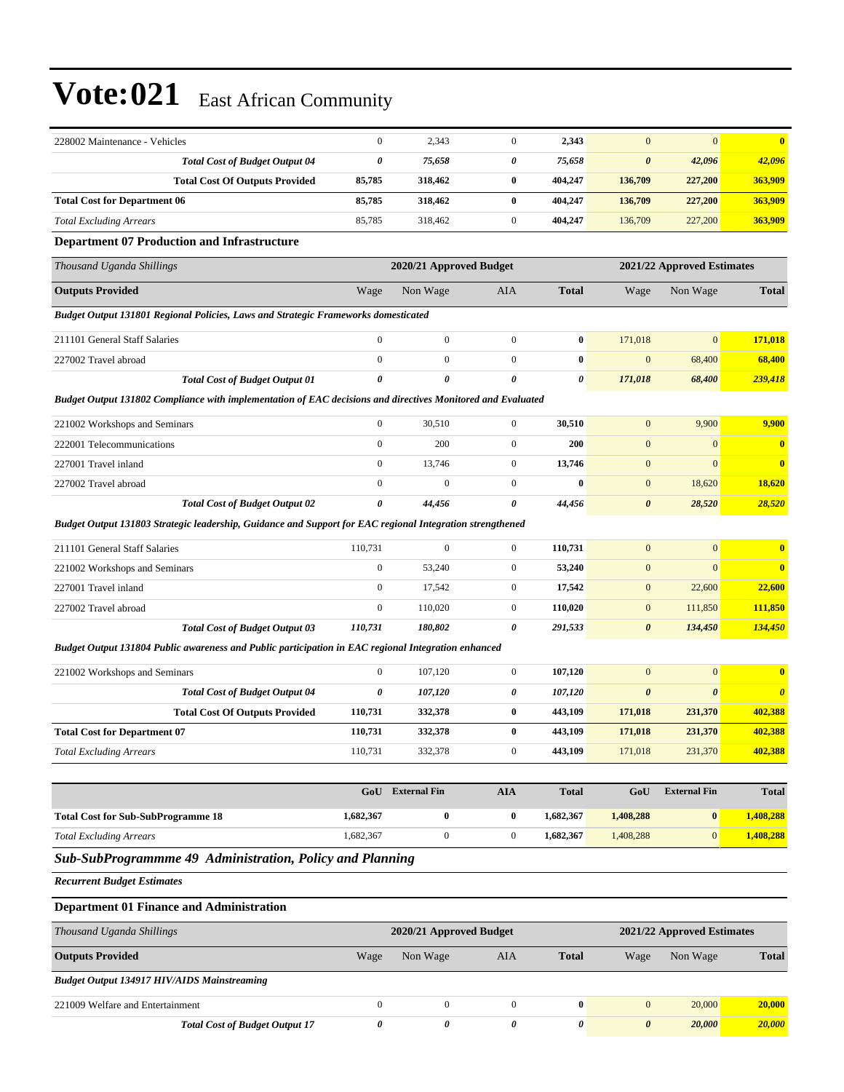| 228002 Maintenance - Vehicles                                                                               | $\boldsymbol{0}$      | 2,343                   | $\mathbf{0}$     | 2,343        | $\mathbf{0}$          | $\mathbf{0}$               | $\overline{\mathbf{0}}$ |
|-------------------------------------------------------------------------------------------------------------|-----------------------|-------------------------|------------------|--------------|-----------------------|----------------------------|-------------------------|
| <b>Total Cost of Budget Output 04</b>                                                                       | $\boldsymbol{\theta}$ | 75,658                  | 0                | 75,658       | $\boldsymbol{\theta}$ | 42,096                     | 42,096                  |
| <b>Total Cost Of Outputs Provided</b>                                                                       | 85,785                | 318,462                 | $\bf{0}$         | 404,247      | 136,709               | 227,200                    | 363,909                 |
| <b>Total Cost for Department 06</b>                                                                         | 85,785                | 318,462                 | $\bf{0}$         | 404,247      | 136,709               | 227,200                    | 363,909                 |
| <b>Total Excluding Arrears</b>                                                                              | 85,785                | 318,462                 | $\mathbf{0}$     | 404,247      | 136,709               | 227,200                    | 363,909                 |
| <b>Department 07 Production and Infrastructure</b>                                                          |                       |                         |                  |              |                       |                            |                         |
| Thousand Uganda Shillings                                                                                   |                       | 2020/21 Approved Budget |                  |              |                       | 2021/22 Approved Estimates |                         |
| <b>Outputs Provided</b>                                                                                     | Wage                  | Non Wage                | AIA              | <b>Total</b> | Wage                  | Non Wage                   | <b>Total</b>            |
| Budget Output 131801 Regional Policies, Laws and Strategic Frameworks domesticated                          |                       |                         |                  |              |                       |                            |                         |
| 211101 General Staff Salaries                                                                               | $\boldsymbol{0}$      | $\boldsymbol{0}$        | $\mathbf{0}$     | $\bf{0}$     | 171,018               | $\mathbf{0}$               | 171,018                 |
| 227002 Travel abroad                                                                                        | $\mathbf{0}$          | $\mathbf{0}$            | $\overline{0}$   | $\bf{0}$     | $\mathbf{0}$          | 68,400                     | 68,400                  |
| <b>Total Cost of Budget Output 01</b>                                                                       | $\boldsymbol{\theta}$ | $\pmb{\theta}$          | 0                | 0            | 171,018               | 68,400                     | 239,418                 |
| Budget Output 131802 Compliance with implementation of EAC decisions and directives Monitored and Evaluated |                       |                         |                  |              |                       |                            |                         |
| 221002 Workshops and Seminars                                                                               | $\boldsymbol{0}$      | 30,510                  | $\mathbf{0}$     | 30,510       | $\mathbf{0}$          | 9,900                      | 9,900                   |
| 222001 Telecommunications                                                                                   | $\boldsymbol{0}$      | 200                     | $\mathbf{0}$     | 200          | $\mathbf{0}$          | $\boldsymbol{0}$           | $\bf{0}$                |
| 227001 Travel inland                                                                                        | $\mathbf{0}$          | 13,746                  | $\mathbf{0}$     | 13,746       | $\mathbf{0}$          | $\mathbf{0}$               | $\bf{0}$                |
| 227002 Travel abroad                                                                                        | $\mathbf{0}$          | $\mathbf{0}$            | $\boldsymbol{0}$ | $\bf{0}$     | $\boldsymbol{0}$      | 18,620                     | <b>18,620</b>           |
| <b>Total Cost of Budget Output 02</b>                                                                       | 0                     | 44,456                  | 0                | 44,456       | $\boldsymbol{\theta}$ | 28,520                     | 28,520                  |
| Budget Output 131803 Strategic leadership, Guidance and Support for EAC regional Integration strengthened   |                       |                         |                  |              |                       |                            |                         |
| 211101 General Staff Salaries                                                                               | 110,731               | $\mathbf{0}$            | $\mathbf{0}$     | 110,731      | $\mathbf{0}$          | $\boldsymbol{0}$           | $\bf{0}$                |
| 221002 Workshops and Seminars                                                                               | $\boldsymbol{0}$      | 53,240                  | $\mathbf{0}$     | 53,240       | $\mathbf{0}$          | $\mathbf{0}$               | $\mathbf{0}$            |
| 227001 Travel inland                                                                                        | $\boldsymbol{0}$      | 17,542                  | $\mathbf{0}$     | 17,542       | $\mathbf{0}$          | 22,600                     | 22,600                  |
| 227002 Travel abroad                                                                                        | $\boldsymbol{0}$      | 110,020                 | $\boldsymbol{0}$ | 110,020      | $\boldsymbol{0}$      | 111,850                    | 111,850                 |
| <b>Total Cost of Budget Output 03</b>                                                                       | 110,731               | 180,802                 | 0                | 291,533      | $\boldsymbol{\theta}$ | 134,450                    | 134,450                 |
| Budget Output 131804 Public awareness and Public participation in EAC regional Integration enhanced         |                       |                         |                  |              |                       |                            |                         |
| 221002 Workshops and Seminars                                                                               | $\mathbf{0}$          | 107,120                 | $\overline{0}$   | 107,120      | $\mathbf{0}$          | $\boldsymbol{0}$           | $\bf{0}$                |
| <b>Total Cost of Budget Output 04</b>                                                                       | 0                     | 107,120                 | 0                | 107,120      | $\boldsymbol{\theta}$ | $\boldsymbol{\theta}$      | $\boldsymbol{\theta}$   |
| <b>Total Cost Of Outputs Provided</b>                                                                       | 110,731               | 332,378                 | $\bf{0}$         | 443,109      | 171,018               | 231,370                    | 402,388                 |
| <b>Total Cost for Department 07</b>                                                                         | 110,731               | 332,378                 | $\bf{0}$         | 443,109      | 171,018               | 231,370                    | 402,388                 |
| <b>Total Excluding Arrears</b>                                                                              | 110,731               | 332,378                 | $\boldsymbol{0}$ | 443,109      | 171,018               | 231,370                    | 402,388                 |
|                                                                                                             |                       |                         |                  |              |                       |                            |                         |
|                                                                                                             | GoU                   | <b>External Fin</b>     | <b>AIA</b>       | <b>Total</b> | GoU                   | <b>External Fin</b>        | <b>Total</b>            |
| <b>Total Cost for Sub-SubProgramme 18</b>                                                                   | 1,682,367             | $\bf{0}$                | $\bf{0}$         | 1,682,367    | 1,408,288             | $\bf{0}$                   | 1,408,288               |
| <b>Total Excluding Arrears</b>                                                                              | 1,682,367             | $\boldsymbol{0}$        | $\boldsymbol{0}$ | 1,682,367    | 1,408,288             | $\mathbf{0}$               | 1,408,288               |
| Sub-SubProgrammme 49 Administration, Policy and Planning                                                    |                       |                         |                  |              |                       |                            |                         |
| <b>Recurrent Budget Estimates</b>                                                                           |                       |                         |                  |              |                       |                            |                         |
| <b>Department 01 Finance and Administration</b>                                                             |                       |                         |                  |              |                       |                            |                         |
| Thousand Uganda Shillings                                                                                   |                       | 2020/21 Approved Budget |                  |              |                       | 2021/22 Approved Estimates |                         |
| <b>Outputs Provided</b>                                                                                     | Wage                  | Non Wage                | AIA              | <b>Total</b> | Wage                  | Non Wage                   | <b>Total</b>            |
| <b>Budget Output 134917 HIV/AIDS Mainstreaming</b>                                                          |                       |                         |                  |              |                       |                            |                         |
| 221009 Welfare and Entertainment                                                                            | $\mathbf{0}$          | $\mathbf{0}$            | $\overline{0}$   | $\bf{0}$     | $\mathbf{0}$          | 20,000                     | 20,000                  |
| <b>Total Cost of Budget Output 17</b>                                                                       | $\pmb{\theta}$        | 0                       | 0                | 0            | $\pmb{\theta}$        | 20,000                     | 20,000                  |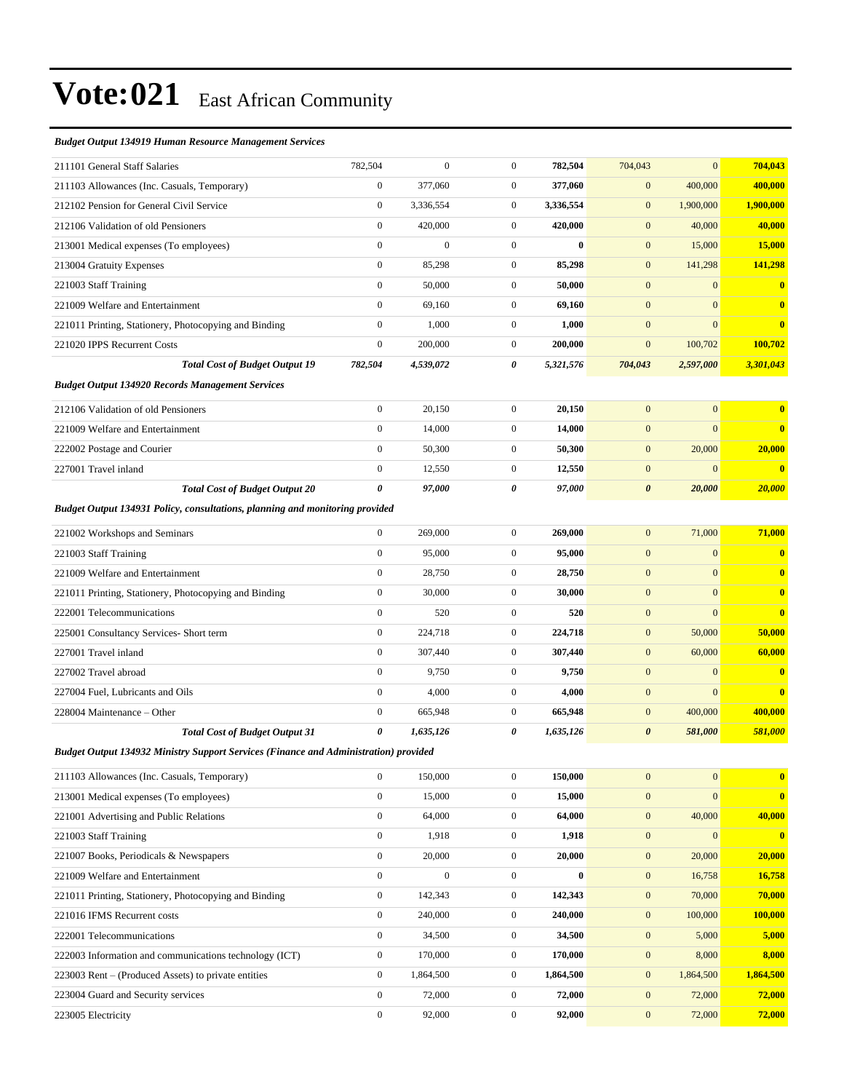#### *Budget Output 134919 Human Resource Management Services*

| 211101 General Staff Salaries                                                               | 782,504               | $\overline{0}$   | $\mathbf{0}$     | 782,504   | 704,043               | $\overline{0}$   | 704,043       |
|---------------------------------------------------------------------------------------------|-----------------------|------------------|------------------|-----------|-----------------------|------------------|---------------|
| 211103 Allowances (Inc. Casuals, Temporary)                                                 | $\boldsymbol{0}$      | 377,060          | $\mathbf{0}$     | 377,060   | $\mathbf{0}$          | 400,000          | 400,000       |
| 212102 Pension for General Civil Service                                                    | $\boldsymbol{0}$      | 3,336,554        | $\mathbf{0}$     | 3,336,554 | $\mathbf{0}$          | 1,900,000        | 1,900,000     |
| 212106 Validation of old Pensioners                                                         | $\boldsymbol{0}$      | 420,000          | $\mathbf{0}$     | 420,000   | $\mathbf{0}$          | 40,000           | 40,000        |
| 213001 Medical expenses (To employees)                                                      | $\mathbf{0}$          | $\boldsymbol{0}$ | $\overline{0}$   | $\bf{0}$  | $\mathbf{0}$          | 15,000           | <b>15,000</b> |
| 213004 Gratuity Expenses                                                                    | $\boldsymbol{0}$      | 85,298           | $\mathbf{0}$     | 85,298    | $\mathbf{0}$          | 141,298          | 141,298       |
| 221003 Staff Training                                                                       | $\boldsymbol{0}$      | 50,000           | $\mathbf{0}$     | 50,000    | $\mathbf{0}$          | $\mathbf{0}$     | $\bf{0}$      |
| 221009 Welfare and Entertainment                                                            | $\boldsymbol{0}$      | 69,160           | $\mathbf{0}$     | 69,160    | $\boldsymbol{0}$      | $\mathbf{0}$     | $\bf{0}$      |
| 221011 Printing, Stationery, Photocopying and Binding                                       | $\boldsymbol{0}$      | 1,000            | $\mathbf{0}$     | 1,000     | $\mathbf{0}$          | $\overline{0}$   | $\bf{0}$      |
| 221020 IPPS Recurrent Costs                                                                 | $\boldsymbol{0}$      | 200,000          | $\mathbf{0}$     | 200,000   | $\boldsymbol{0}$      | 100,702          | 100,702       |
| <b>Total Cost of Budget Output 19</b>                                                       | 782,504               | 4,539,072        | 0                | 5,321,576 | 704,043               | 2,597,000        | 3,301,043     |
| <b>Budget Output 134920 Records Management Services</b>                                     |                       |                  |                  |           |                       |                  |               |
| 212106 Validation of old Pensioners                                                         | $\boldsymbol{0}$      | 20,150           | $\overline{0}$   | 20,150    | $\mathbf{0}$          | $\mathbf{0}$     | $\bf{0}$      |
| 221009 Welfare and Entertainment                                                            | $\mathbf{0}$          | 14,000           | $\mathbf{0}$     | 14,000    | $\mathbf{0}$          | $\overline{0}$   | $\bf{0}$      |
| 222002 Postage and Courier                                                                  | $\boldsymbol{0}$      | 50,300           | $\mathbf{0}$     | 50,300    | $\mathbf{0}$          | 20,000           | 20,000        |
| 227001 Travel inland                                                                        | $\boldsymbol{0}$      | 12,550           | $\mathbf{0}$     | 12,550    | $\boldsymbol{0}$      | $\mathbf{0}$     | $\bf{0}$      |
| <b>Total Cost of Budget Output 20</b>                                                       | $\pmb{\theta}$        | 97,000           | 0                | 97,000    | $\boldsymbol{\theta}$ | 20,000           | 20,000        |
| Budget Output 134931 Policy, consultations, planning and monitoring provided                |                       |                  |                  |           |                       |                  |               |
| 221002 Workshops and Seminars                                                               | $\boldsymbol{0}$      | 269,000          | $\mathbf{0}$     | 269,000   | $\mathbf{0}$          | 71,000           | 71,000        |
| 221003 Staff Training                                                                       | $\boldsymbol{0}$      | 95,000           | $\overline{0}$   | 95,000    | $\mathbf{0}$          | $\mathbf{0}$     | $\bf{0}$      |
| 221009 Welfare and Entertainment                                                            | $\boldsymbol{0}$      | 28,750           | $\mathbf{0}$     | 28,750    | $\mathbf{0}$          | $\mathbf{0}$     | $\bf{0}$      |
| 221011 Printing, Stationery, Photocopying and Binding                                       | $\mathbf{0}$          | 30,000           | $\mathbf{0}$     | 30,000    | $\mathbf{0}$          | $\overline{0}$   | $\bf{0}$      |
| 222001 Telecommunications                                                                   | $\mathbf{0}$          | 520              | $\mathbf{0}$     | 520       | $\mathbf{0}$          | $\overline{0}$   | $\bf{0}$      |
| 225001 Consultancy Services- Short term                                                     | $\boldsymbol{0}$      | 224,718          | $\mathbf{0}$     | 224,718   | $\mathbf{0}$          | 50,000           | 50,000        |
| 227001 Travel inland                                                                        | $\boldsymbol{0}$      | 307,440          | $\mathbf{0}$     | 307,440   | $\mathbf{0}$          | 60,000           | 60,000        |
| 227002 Travel abroad                                                                        | $\boldsymbol{0}$      | 9,750            | $\mathbf{0}$     | 9,750     | $\mathbf{0}$          | $\mathbf{0}$     | $\bf{0}$      |
| 227004 Fuel, Lubricants and Oils                                                            | $\mathbf{0}$          | 4,000            | $\mathbf{0}$     | 4,000     | $\boldsymbol{0}$      | $\overline{0}$   | $\bf{0}$      |
| 228004 Maintenance - Other                                                                  | $\mathbf{0}$          | 665,948          | $\mathbf{0}$     | 665,948   | $\mathbf{0}$          | 400,000          | 400,000       |
| <b>Total Cost of Budget Output 31</b>                                                       | $\boldsymbol{\theta}$ | 1,635,126        | 0                | 1,635,126 | $\boldsymbol{\theta}$ | 581,000          | 581,000       |
| <b>Budget Output 134932 Ministry Support Services (Finance and Administration) provided</b> |                       |                  |                  |           |                       |                  |               |
| 211103 Allowances (Inc. Casuals, Temporary)                                                 | $\bf{0}$              | 150,000          | $\theta$         | 150,000   | $\bf{0}$              | $\boldsymbol{0}$ | $\bf{0}$      |
| 213001 Medical expenses (To employees)                                                      | $\boldsymbol{0}$      | 15,000           | $\mathbf{0}$     | 15,000    | $\mathbf{0}$          | $\mathbf{0}$     | $\bf{0}$      |
| 221001 Advertising and Public Relations                                                     | $\boldsymbol{0}$      | 64,000           | $\boldsymbol{0}$ | 64,000    | $\mathbf{0}$          | 40,000           | 40,000        |
| 221003 Staff Training                                                                       | $\boldsymbol{0}$      | 1,918            | $\boldsymbol{0}$ | 1,918     | $\boldsymbol{0}$      | $\mathbf{0}$     | $\bf{0}$      |
| 221007 Books, Periodicals & Newspapers                                                      | $\boldsymbol{0}$      | 20,000           | $\boldsymbol{0}$ | 20,000    | $\mathbf{0}$          | 20,000           | 20,000        |
| 221009 Welfare and Entertainment                                                            | $\boldsymbol{0}$      | $\boldsymbol{0}$ | $\boldsymbol{0}$ | $\bf{0}$  | $\boldsymbol{0}$      | 16,758           | 16,758        |
| 221011 Printing, Stationery, Photocopying and Binding                                       | $\boldsymbol{0}$      | 142,343          | $\boldsymbol{0}$ | 142,343   | $\mathbf{0}$          | 70,000           | 70,000        |
| 221016 IFMS Recurrent costs                                                                 | $\boldsymbol{0}$      | 240,000          | $\boldsymbol{0}$ | 240,000   | $\mathbf{0}$          | 100,000          | 100,000       |
| 222001 Telecommunications                                                                   | $\boldsymbol{0}$      | 34,500           | $\boldsymbol{0}$ | 34,500    | $\boldsymbol{0}$      | 5,000            | 5,000         |
| 222003 Information and communications technology (ICT)                                      | $\boldsymbol{0}$      | 170,000          | $\boldsymbol{0}$ | 170,000   | $\mathbf{0}$          | 8,000            | 8,000         |
| 223003 Rent – (Produced Assets) to private entities                                         | $\boldsymbol{0}$      | 1,864,500        | $\boldsymbol{0}$ | 1,864,500 | $\mathbf{0}$          | 1,864,500        | 1,864,500     |
| 223004 Guard and Security services                                                          | $\boldsymbol{0}$      | 72,000           | $\mathbf{0}$     | 72,000    | $\mathbf{0}$          | 72,000           | 72,000        |
| 223005 Electricity                                                                          | $\boldsymbol{0}$      | 92,000           | $\boldsymbol{0}$ | 92,000    | $\mathbf{0}$          | 72,000           | 72,000        |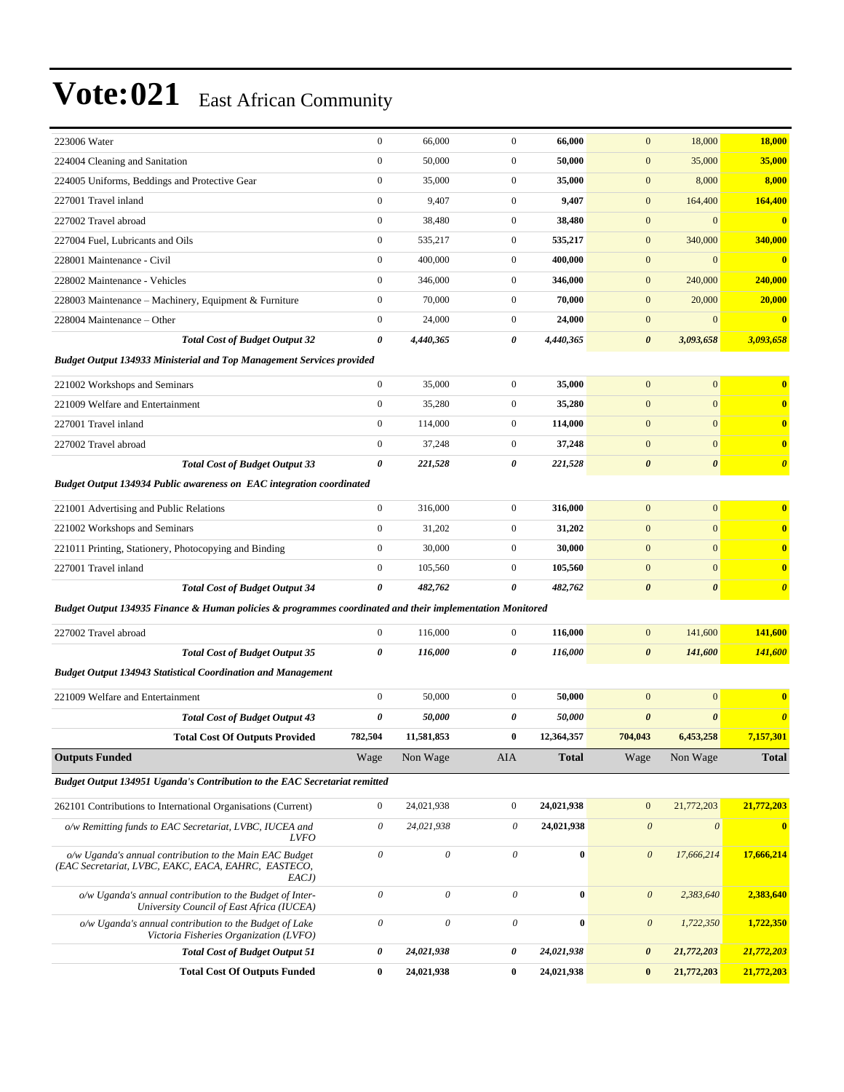| 223006 Water                                                                                              | $\boldsymbol{0}$      | 66,000                    | $\boldsymbol{0}$          | 66,000       | $\mathbf{0}$          | 18,000                | <b>18,000</b>         |
|-----------------------------------------------------------------------------------------------------------|-----------------------|---------------------------|---------------------------|--------------|-----------------------|-----------------------|-----------------------|
| 224004 Cleaning and Sanitation                                                                            | $\boldsymbol{0}$      | 50,000                    | $\boldsymbol{0}$          | 50,000       | $\boldsymbol{0}$      | 35,000                | 35,000                |
| 224005 Uniforms, Beddings and Protective Gear                                                             | $\boldsymbol{0}$      | 35,000                    | $\boldsymbol{0}$          | 35,000       | $\mathbf{0}$          | 8,000                 | 8,000                 |
| 227001 Travel inland                                                                                      | $\boldsymbol{0}$      | 9,407                     | $\boldsymbol{0}$          | 9,407        | $\mathbf{0}$          | 164,400               | 164,400               |
| 227002 Travel abroad                                                                                      | $\boldsymbol{0}$      | 38,480                    | $\mathbf{0}$              | 38,480       | $\boldsymbol{0}$      | $\mathbf{0}$          | $\bf{0}$              |
| 227004 Fuel, Lubricants and Oils                                                                          | $\boldsymbol{0}$      | 535,217                   | $\boldsymbol{0}$          | 535,217      | $\mathbf{0}$          | 340,000               | 340,000               |
| 228001 Maintenance - Civil                                                                                | $\boldsymbol{0}$      | 400,000                   | $\boldsymbol{0}$          | 400,000      | $\boldsymbol{0}$      | $\mathbf{0}$          | $\bf{0}$              |
| 228002 Maintenance - Vehicles                                                                             | $\boldsymbol{0}$      | 346,000                   | $\boldsymbol{0}$          | 346,000      | $\mathbf{0}$          | 240,000               | 240,000               |
| 228003 Maintenance – Machinery, Equipment & Furniture                                                     | $\boldsymbol{0}$      | 70,000                    | $\boldsymbol{0}$          | 70,000       | $\boldsymbol{0}$      | 20,000                | 20,000                |
| 228004 Maintenance – Other                                                                                | $\boldsymbol{0}$      | 24,000                    | $\mathbf{0}$              | 24,000       | $\boldsymbol{0}$      | $\mathbf{0}$          | $\bf{0}$              |
| <b>Total Cost of Budget Output 32</b>                                                                     | 0                     | 4,440,365                 | 0                         | 4,440,365    | $\boldsymbol{\theta}$ | 3,093,658             | 3,093,658             |
| <b>Budget Output 134933 Ministerial and Top Management Services provided</b>                              |                       |                           |                           |              |                       |                       |                       |
| 221002 Workshops and Seminars                                                                             | $\boldsymbol{0}$      | 35,000                    | $\boldsymbol{0}$          | 35,000       | $\boldsymbol{0}$      | $\mathbf{0}$          | $\bf{0}$              |
| 221009 Welfare and Entertainment                                                                          | $\boldsymbol{0}$      | 35,280                    | $\boldsymbol{0}$          | 35,280       | $\mathbf{0}$          | $\mathbf{0}$          | $\bf{0}$              |
| 227001 Travel inland                                                                                      | $\boldsymbol{0}$      | 114,000                   | $\mathbf{0}$              | 114,000      | $\boldsymbol{0}$      | $\mathbf{0}$          | $\bf{0}$              |
| 227002 Travel abroad                                                                                      | $\boldsymbol{0}$      | 37,248                    | $\boldsymbol{0}$          | 37,248       | $\boldsymbol{0}$      | $\mathbf{0}$          | $\bf{0}$              |
| <b>Total Cost of Budget Output 33</b>                                                                     | 0                     | 221,528                   | 0                         | 221,528      | $\boldsymbol{\theta}$ | $\boldsymbol{\theta}$ | $\boldsymbol{\theta}$ |
| <b>Budget Output 134934 Public awareness on EAC integration coordinated</b>                               |                       |                           |                           |              |                       |                       |                       |
| 221001 Advertising and Public Relations                                                                   | $\boldsymbol{0}$      | 316,000                   | $\boldsymbol{0}$          | 316,000      | $\mathbf{0}$          | $\boldsymbol{0}$      | $\bf{0}$              |
| 221002 Workshops and Seminars                                                                             | $\boldsymbol{0}$      | 31,202                    | $\boldsymbol{0}$          | 31,202       | $\mathbf{0}$          | $\mathbf{0}$          | $\bf{0}$              |
| 221011 Printing, Stationery, Photocopying and Binding                                                     | $\boldsymbol{0}$      | 30,000                    | $\boldsymbol{0}$          | 30,000       | $\boldsymbol{0}$      | $\mathbf{0}$          | $\bf{0}$              |
| 227001 Travel inland                                                                                      | $\boldsymbol{0}$      | 105,560                   | $\boldsymbol{0}$          | 105,560      | $\mathbf{0}$          | $\mathbf{0}$          | $\bf{0}$              |
| <b>Total Cost of Budget Output 34</b>                                                                     | 0                     | 482,762                   | 0                         | 482,762      | $\boldsymbol{\theta}$ | $\boldsymbol{\theta}$ | $\boldsymbol{\theta}$ |
| Budget Output 134935 Finance & Human policies & programmes coordinated and their implementation Monitored |                       |                           |                           |              |                       |                       |                       |
| 227002 Travel abroad                                                                                      | $\boldsymbol{0}$      | 116,000                   | $\boldsymbol{0}$          | 116,000      | $\bf{0}$              | 141,600               | 141,600               |
| <b>Total Cost of Budget Output 35</b>                                                                     | 0                     | 116,000                   | 0                         | 116,000      | $\boldsymbol{\theta}$ | 141,600               | 141,600               |
| <b>Budget Output 134943 Statistical Coordination and Management</b>                                       |                       |                           |                           |              |                       |                       |                       |
| 221009 Welfare and Entertainment                                                                          | $\boldsymbol{0}$      | 50,000                    | $\mathbf{0}$              | 50,000       | $\mathbf{0}$          | $\mathbf{0}$          | $\bf{0}$              |
| <b>Total Cost of Budget Output 43</b>                                                                     | 0                     | 50,000                    | 0                         | 50,000       | $\boldsymbol{\theta}$ | $\boldsymbol{\theta}$ | $\boldsymbol{\theta}$ |
| <b>Total Cost Of Outputs Provided</b>                                                                     | 782,504               | 11,581,853                | $\bf{0}$                  | 12,364,357   | 704,043               | 6,453,258             | 7,157,301             |
| <b>Outputs Funded</b>                                                                                     | Wage                  | Non Wage                  | AIA                       | <b>Total</b> | Wage                  | Non Wage              | <b>Total</b>          |
| Budget Output 134951 Uganda's Contribution to the EAC Secretariat remitted                                |                       |                           |                           |              |                       |                       |                       |
| 262101 Contributions to International Organisations (Current)                                             | $\boldsymbol{0}$      | 24,021,938                | $\boldsymbol{0}$          | 24,021,938   | $\mathbf{0}$          | 21,772,203            | 21,772,203            |
| o/w Remitting funds to EAC Secretariat, LVBC, IUCEA and                                                   | $\theta$              | 24,021,938                | 0                         | 24,021,938   | $\boldsymbol{\theta}$ | $\boldsymbol{\theta}$ | $\bf{0}$              |
| <b>LVFO</b><br>o/w Uganda's annual contribution to the Main EAC Budget                                    | $\boldsymbol{\theta}$ | $\boldsymbol{\theta}$     | $\boldsymbol{\mathit{0}}$ | $\pmb{0}$    | $\boldsymbol{\theta}$ | 17,666,214            | 17,666,214            |
| (EAC Secretariat, LVBC, EAKC, EACA, EAHRC, EASTECO,<br>EACJ)                                              |                       |                           |                           |              |                       |                       |                       |
| o/w Uganda's annual contribution to the Budget of Inter-<br>University Council of East Africa (IUCEA)     | $\theta$              | $\mathcal O$              | $\boldsymbol{\theta}$     | $\bf{0}$     | $\boldsymbol{\theta}$ | 2,383,640             | 2,383,640             |
| o/w Uganda's annual contribution to the Budget of Lake<br>Victoria Fisheries Organization (LVFO)          | $\boldsymbol{\theta}$ | $\boldsymbol{\mathit{0}}$ | $\boldsymbol{\mathit{0}}$ | $\bf{0}$     | $\boldsymbol{\theta}$ | 1,722,350             | 1,722,350             |
| <b>Total Cost of Budget Output 51</b>                                                                     | 0                     | 24,021,938                | $\boldsymbol{\theta}$     | 24,021,938   | $\boldsymbol{\theta}$ | 21,772,203            | 21,772,203            |
| <b>Total Cost Of Outputs Funded</b>                                                                       | $\bf{0}$              | 24,021,938                | $\bf{0}$                  | 24,021,938   | $\bf{0}$              | 21,772,203            | 21,772,203            |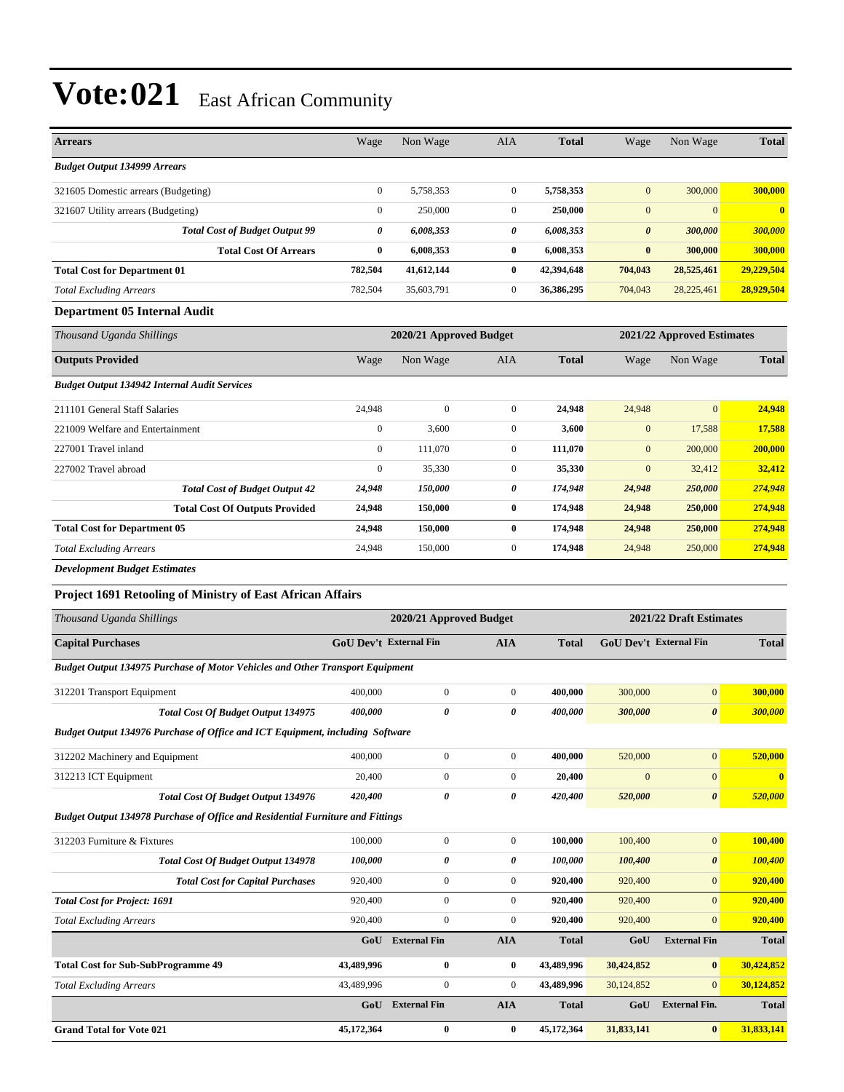| <b>Arrears</b>                                                                        | Wage                   | Non Wage                | AIA              | <b>Total</b> | Wage                  | Non Wage                   | <b>Total</b> |
|---------------------------------------------------------------------------------------|------------------------|-------------------------|------------------|--------------|-----------------------|----------------------------|--------------|
| <b>Budget Output 134999 Arrears</b>                                                   |                        |                         |                  |              |                       |                            |              |
| 321605 Domestic arrears (Budgeting)                                                   | $\mathbf{0}$           | 5,758,353               | $\mathbf{0}$     | 5,758,353    | $\mathbf{0}$          | 300,000                    | 300,000      |
| 321607 Utility arrears (Budgeting)                                                    | $\mathbf{0}$           | 250,000                 | $\mathbf{0}$     | 250,000      | $\mathbf{0}$          | $\mathbf{0}$               | $\bf{0}$     |
| <b>Total Cost of Budget Output 99</b>                                                 | 0                      | 6,008,353               | 0                | 6,008,353    | $\boldsymbol{\theta}$ | 300,000                    | 300,000      |
| <b>Total Cost Of Arrears</b>                                                          | $\bf{0}$               | 6,008,353               | $\bf{0}$         | 6,008,353    | $\bf{0}$              | 300,000                    | 300,000      |
| <b>Total Cost for Department 01</b>                                                   | 782,504                | 41,612,144              | $\bf{0}$         | 42,394,648   | 704,043               | 28,525,461                 | 29,229,504   |
| <b>Total Excluding Arrears</b>                                                        | 782,504                | 35,603,791              | $\mathbf{0}$     | 36,386,295   | 704,043               | 28,225,461                 | 28,929,504   |
| Department 05 Internal Audit                                                          |                        |                         |                  |              |                       |                            |              |
| Thousand Uganda Shillings                                                             |                        | 2020/21 Approved Budget |                  |              |                       | 2021/22 Approved Estimates |              |
| <b>Outputs Provided</b>                                                               | Wage                   | Non Wage                | <b>AIA</b>       | <b>Total</b> | Wage                  | Non Wage                   | <b>Total</b> |
| <b>Budget Output 134942 Internal Audit Services</b>                                   |                        |                         |                  |              |                       |                            |              |
| 211101 General Staff Salaries                                                         | 24,948                 | $\boldsymbol{0}$        | $\mathbf{0}$     | 24,948       | 24,948                | $\mathbf{0}$               | 24,948       |
| 221009 Welfare and Entertainment                                                      | $\mathbf{0}$           | 3,600                   | $\mathbf{0}$     | 3,600        | $\mathbf{0}$          | 17,588                     | 17,588       |
| 227001 Travel inland                                                                  | $\mathbf{0}$           | 111,070                 | $\mathbf{0}$     | 111,070      | $\mathbf{0}$          | 200,000                    | 200,000      |
| 227002 Travel abroad                                                                  | $\mathbf{0}$           | 35,330                  | $\mathbf{0}$     | 35,330       | $\overline{0}$        | 32,412                     | 32,412       |
| <b>Total Cost of Budget Output 42</b>                                                 | 24,948                 | 150,000                 | 0                | 174,948      | 24,948                | 250,000                    | 274,948      |
| <b>Total Cost Of Outputs Provided</b>                                                 | 24,948                 | 150,000                 | $\bf{0}$         | 174,948      | 24,948                | 250,000                    | 274,948      |
| <b>Total Cost for Department 05</b>                                                   | 24,948                 | 150,000                 | $\bf{0}$         | 174,948      | 24,948                | 250,000                    | 274,948      |
| <b>Total Excluding Arrears</b>                                                        | 24,948                 | 150,000                 | $\mathbf{0}$     | 174,948      | 24,948                | 250,000                    | 274,948      |
| <b>Development Budget Estimates</b>                                                   |                        |                         |                  |              |                       |                            |              |
| <b>Project 1691 Retooling of Ministry of East African Affairs</b>                     |                        |                         |                  |              |                       |                            |              |
| Thousand Uganda Shillings                                                             |                        | 2020/21 Approved Budget |                  |              |                       | 2021/22 Draft Estimates    |              |
| <b>Capital Purchases</b>                                                              | GoU Dev't External Fin |                         | AIA              | <b>Total</b> |                       | GoU Dev't External Fin     | <b>Total</b> |
| <b>Budget Output 134975 Purchase of Motor Vehicles and Other Transport Equipment</b>  |                        |                         |                  |              |                       |                            |              |
| 312201 Transport Equipment                                                            | 400,000                | $\boldsymbol{0}$        | $\boldsymbol{0}$ | 400,000      | 300,000               | $\boldsymbol{0}$           | 300,000      |
| <b>Total Cost Of Budget Output 134975</b>                                             | 400,000                | 0                       | 0                | 400,000      | 300,000               | $\boldsymbol{\theta}$      | 300,000      |
| Budget Output 134976 Purchase of Office and ICT Equipment, including Software         |                        |                         |                  |              |                       |                            |              |
| 312202 Machinery and Equipment                                                        | 400,000                | $\boldsymbol{0}$        | $\boldsymbol{0}$ | 400,000      | 520,000               | $\boldsymbol{0}$           | 520,000      |
| 312213 ICT Equipment                                                                  | 20,400                 | $\boldsymbol{0}$        | $\boldsymbol{0}$ | 20,400       | $\mathbf{0}$          | $\boldsymbol{0}$           | $\bf{0}$     |
| <b>Total Cost Of Budget Output 134976</b>                                             | 420,400                | 0                       | 0                | 420,400      | 520,000               | $\boldsymbol{\theta}$      | 520,000      |
| <b>Budget Output 134978 Purchase of Office and Residential Furniture and Fittings</b> |                        |                         |                  |              |                       |                            |              |
| 312203 Furniture & Fixtures                                                           | 100,000                | $\boldsymbol{0}$        | $\boldsymbol{0}$ | 100,000      | 100,400               | $\mathbf{0}$               | 100,400      |
| <b>Total Cost Of Budget Output 134978</b>                                             | 100,000                | 0                       | 0                | 100,000      | 100,400               | 0                          | 100,400      |
| <b>Total Cost for Capital Purchases</b>                                               | 920,400                | $\boldsymbol{0}$        | $\boldsymbol{0}$ | 920,400      | 920,400               | $\mathbf{0}$               | 920,400      |
| <b>Total Cost for Project: 1691</b>                                                   | 920,400                | $\boldsymbol{0}$        | 0                | 920,400      | 920,400               | $\mathbf{0}$               | 920,400      |
| <b>Total Excluding Arrears</b>                                                        | 920,400                | $\boldsymbol{0}$        | $\boldsymbol{0}$ | 920,400      | 920,400               | $\mathbf{0}$               | 920,400      |
|                                                                                       | GoU                    | <b>External Fin</b>     | <b>AIA</b>       | <b>Total</b> | GoU                   | <b>External Fin</b>        | <b>Total</b> |
| <b>Total Cost for Sub-SubProgramme 49</b>                                             | 43,489,996             | 0                       | 0                | 43,489,996   | 30,424,852            | $\bf{0}$                   | 30,424,852   |
| <b>Total Excluding Arrears</b>                                                        | 43,489,996             | $\boldsymbol{0}$        | $\boldsymbol{0}$ | 43,489,996   | 30,124,852            | $\mathbf{0}$               | 30,124,852   |
|                                                                                       |                        |                         |                  |              |                       |                            |              |
|                                                                                       |                        | GoU External Fin        | <b>AIA</b>       | <b>Total</b> | GoU                   | <b>External Fin.</b>       | <b>Total</b> |